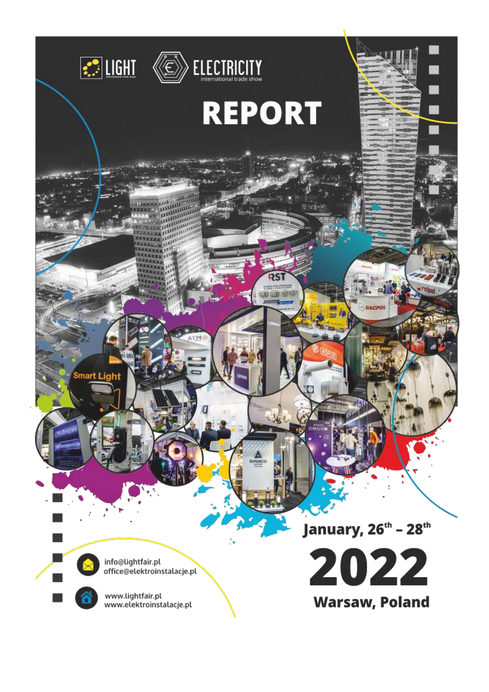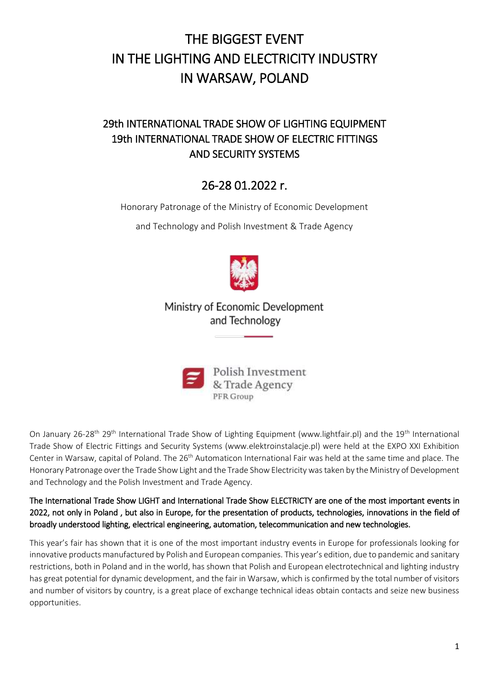# THE BIGGEST EVENT IN THE LIGHTING AND ELECTRICITY INDUSTRY IN WARSAW, POLAND

# 29th INTERNATIONAL TRADE SHOW OF LIGHTING EQUIPMENT 19th INTERNATIONAL TRADE SHOW OF ELECTRIC FITTINGS AND SECURITY SYSTEMS

# 26-28 01.2022 r.

Honorary Patronage of the Ministry of Economic Development

and Technology and Polish Investment & Trade Agency



## Ministry of Economic Development and Technology



On January 26-28<sup>th</sup> 29<sup>th</sup> International Trade Show of Lighting Equipment (www.lightfair.pl) and the 19<sup>th</sup> International Trade Show of Electric Fittings and Security Systems (www.elektroinstalacje.pl) were held at the EXPO XXI Exhibition Center in Warsaw, capital of Poland. The 26<sup>th</sup> Automaticon International Fair was held at the same time and place. The Honorary Patronage over the Trade Show Light and the Trade Show Electricity was taken by the Ministry of Development and Technology and the Polish Investment and Trade Agency.

The International Trade Show LIGHT and International Trade Show ELECTRICTY are one of the most important events in 2022, not only in Poland , but also in Europe, for the presentation of products, technologies, innovations in the field of broadly understood lighting, electrical engineering, automation, telecommunication and new technologies.

This year's fair has shown that it is one of the most important industry events in Europe for professionals looking for innovative products manufactured by Polish and European companies. This year's edition, due to pandemic and sanitary restrictions, both in Poland and in the world, has shown that Polish and European electrotechnical and lighting industry has great potential for dynamic development, and the fair in Warsaw, which is confirmed by the total number of visitors and number of visitors by country, is a great place of exchange technical ideas obtain contacts and seize new business opportunities.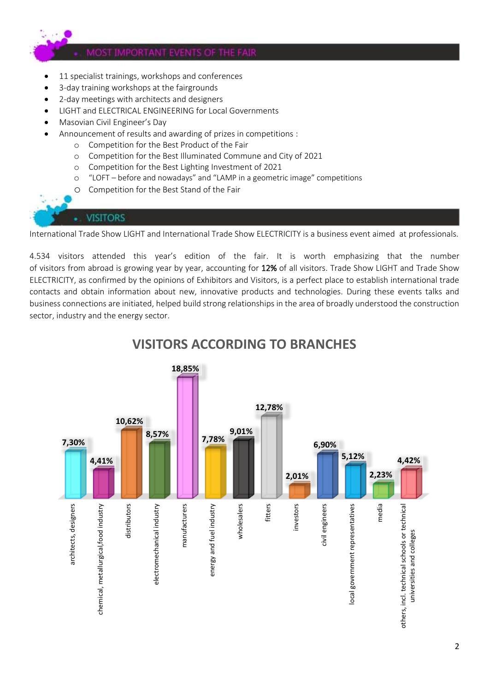

- 11 specialist trainings, workshops and conferences
- 3-day training workshops at the fairgrounds
- 2-day meetings with architects and designers
- LIGHT and ELECTRICAL ENGINEERING for Local Governments
- Masovian Civil Engineer's Day
- Announcement of results and awarding of prizes in competitions :
	- o Competition for the Best Product of the Fair
	- o Competition for the Best Illuminated Commune and City of 2021
	- o Competition for the Best Lighting Investment of 2021
	- o "LOFT before and nowadays" and "LAMP in a geometric image" competitions
	- o Competition for the Best Stand of the Fair

### **VISITORS**

International Trade Show LIGHT and International Trade Show ELECTRICITY is a business event aimed at professionals.

4.534 visitors attended this year's edition of the fair. It is worth emphasizing that the number of visitors from abroad is growing year by year, accounting for 12% of all visitors. Trade Show LIGHT and Trade Show ELECTRICITY, as confirmed by the opinions of Exhibitors and Visitors, is a perfect place to establish international trade contacts and obtain information about new, innovative products and technologies. During these events talks and business connections are initiated, helped build strong relationships in the area of broadly understood the construction sector, industry and the energy sector.



# **VISITORS ACCORDING TO BRANCHES**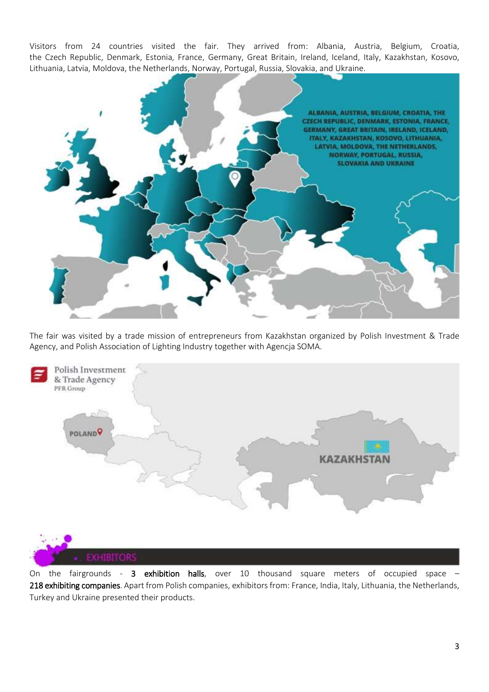Visitors from 24 countries visited the fair. They arrived from: Albania, Austria, Belgium, Croatia, the Czech Republic, Denmark, Estonia, France, Germany, Great Britain, Ireland, Iceland, Italy, Kazakhstan, Kosovo, Lithuania, Latvia, Moldova, the Netherlands, Norway, Portugal, Russia, Slovakia, and Ukraine.



The fair was visited by a trade mission of entrepreneurs from Kazakhstan organized by Polish Investment & Trade Agency, and Polish Association of Lighting Industry together with Agencja SOMA.



On the fairgrounds - 3 exhibition halls, over 10 thousand square meters of occupied space – 218 exhibiting companies. Apart from Polish companies, exhibitors from: France, India, Italy, Lithuania, the Netherlands, Turkey and Ukraine presented their products.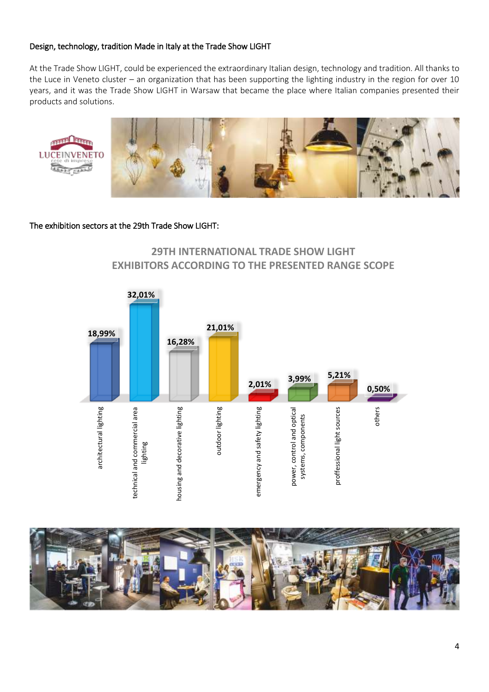#### Design, technology, tradition Made in Italy at the Trade Show LIGHT

At the Trade Show LIGHT, could be experienced the extraordinary Italian design, technology and tradition. All thanks to the Luce in Veneto cluster – an organization that has been supporting the lighting industry in the region for over 10 years, and it was the Trade Show LIGHT in Warsaw that became the place where Italian companies presented their products and solutions.



#### The exhibition sectors at the 29th Trade Show LIGHT:

### **29TH INTERNATIONAL TRADE SHOW LIGHT EXHIBITORS ACCORDING TO THE PRESENTED RANGE SCOPE**



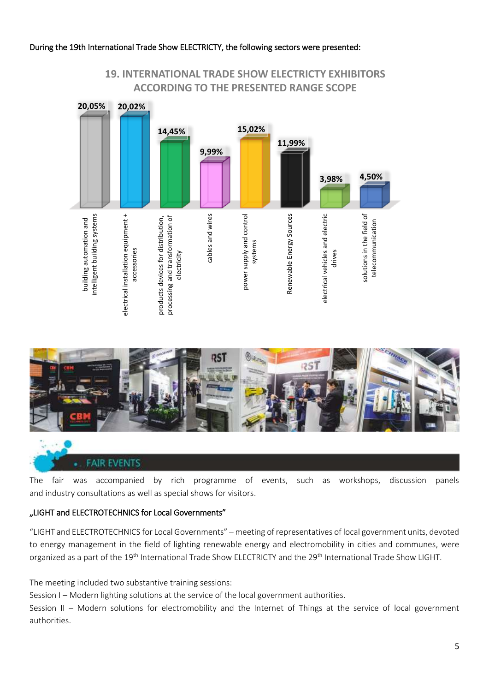#### During the 19th International Trade Show ELECTRICTY, the following sectors were presented:



### **19. INTERNATIONAL TRADE SHOW ELECTRICTY EXHIBITORS ACCORDING TO THE PRESENTED RANGE SCOPE**



#### **FAIR EVENTS**

The fair was accompanied by rich programme of events, such as workshops, discussion panels and industry consultations as well as special shows for visitors.

#### "LIGHT and ELECTROTECHNICS for Local Governments"

"LIGHT and ELECTROTECHNICS for Local Governments" – meeting of representatives of local government units, devoted to energy management in the field of lighting renewable energy and electromobility in cities and communes, were organized as a part of the 19<sup>th</sup> International Trade Show ELECTRICTY and the 29<sup>th</sup> International Trade Show LIGHT.

The meeting included two substantive training sessions:

Session I – Modern lighting solutions at the service of the local government authorities.

Session II – Modern solutions for electromobility and the Internet of Things at the service of local government authorities.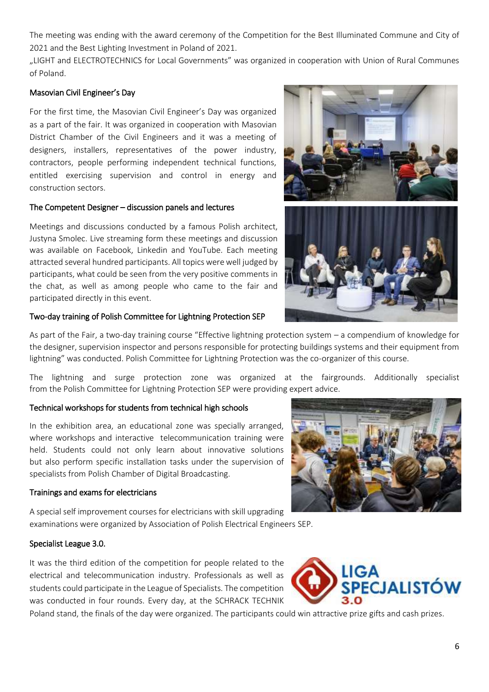The meeting was ending with the award ceremony of the Competition for the Best Illuminated Commune and City of 2021 and the Best Lighting Investment in Poland of 2021.

"LIGHT and ELECTROTECHNICS for Local Governments" was organized in cooperation with Union of Rural Communes of Poland.

#### Masovian Civil Engineer's Day

For the first time, the Masovian Civil Engineer's Day was organized as a part of the fair. It was organized in cooperation with Masovian District Chamber of the Civil Engineers and it was a meeting of designers, installers, representatives of the power industry, contractors, people performing independent technical functions, entitled exercising supervision and control in energy and construction sectors.

#### The Competent Designer – discussion panels and lectures

Meetings and discussions conducted by a famous Polish architect, Justyna Smolec. Live streaming form these meetings and discussion was available on Facebook, Linkedin and YouTube. Each meeting attracted several hundred participants. All topics were well judged by participants, what could be seen from the very positive comments in the chat, as well as among people who came to the fair and participated directly in this event.





#### Two-day training of Polish Committee for Lightning Protection SEP

As part of the Fair, a two-day training course "Effective lightning protection system – a compendium of knowledge for the designer, supervision inspector and persons responsible for protecting buildings systems and their equipment from lightning" was conducted. Polish Committee for Lightning Protection was the co-organizer of this course.

The lightning and surge protection zone was organized at the fairgrounds. Additionally specialist from the Polish Committee for Lightning Protection SEP were providing expert advice.

#### Technical workshops for students from technical high schools

In the exhibition area, an educational zone was specially arranged, where workshops and interactive telecommunication training were held. Students could not only learn about innovative solutions but also perform specific installation tasks under the supervision of specialists from Polish Chamber of Digital Broadcasting.

#### Trainings and exams for electricians

A special self improvement courses for electricians with skill upgrading examinations were organized by Association of Polish Electrical Engineers SEP.

#### Specialist League 3.0.

It was the third edition of the competition for people related to the electrical and telecommunication industry. Professionals as well as students could participate in the League of Specialists. The competition was conducted in four rounds. Every day, at the SCHRACK TECHNIK

Poland stand, the finals of the day were organized. The participants could win attractive prize gifts and cash prizes.



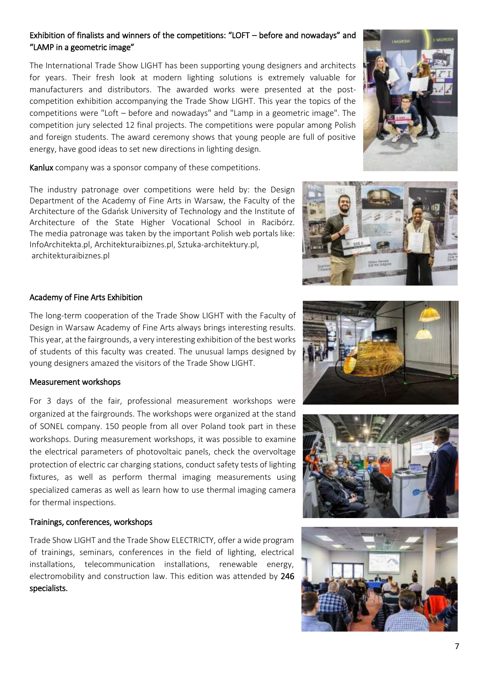### Exhibition of finalists and winners of the competitions: "LOFT – before and nowadays" and "LAMP in a geometric image"

The International Trade Show LIGHT has been supporting young designers and architects for years. Their fresh look at modern lighting solutions is extremely valuable for manufacturers and distributors. The awarded works were presented at the postcompetition exhibition accompanying the Trade Show LIGHT. This year the topics of the competitions were "Loft – before and nowadays" and "Lamp in a geometric image". The competition jury selected 12 final projects. The competitions were popular among Polish and foreign students. The award ceremony shows that young people are full of positive energy, have good ideas to set new directions in lighting design.

Kanlux company was a sponsor company of these competitions.

The industry patronage over competitions were held by: the Design Department of the Academy of Fine Arts in Warsaw, the Faculty of the Architecture of the Gdańsk University of Technology and the Institute of Architecture of the State Higher Vocational School in Racibórz. The media patronage was taken by the important Polish web portals like: InfoArchitekta.pl, Architekturaibiznes.pl, Sztuka-architektury.pl, architekturaibiznes.pl

#### Academy of Fine Arts Exhibition

The long-term cooperation of the Trade Show LIGHT with the Faculty of Design in Warsaw Academy of Fine Arts always brings interesting results. This year, at the fairgrounds, a very interesting exhibition of the best works of students of this faculty was created. The unusual lamps designed by young designers amazed the visitors of the Trade Show LIGHT.

#### Measurement workshops

For 3 days of the fair, professional measurement workshops were organized at the fairgrounds. The workshops were organized at the stand of SONEL company. 150 people from all over Poland took part in these workshops. During measurement workshops, it was possible to examine the electrical parameters of photovoltaic panels, check the overvoltage protection of electric car charging stations, conduct safety tests of lighting fixtures, as well as perform thermal imaging measurements using specialized cameras as well as learn how to use thermal imaging camera for thermal inspections.

#### Trainings, conferences, workshops

Trade Show LIGHT and the Trade Show ELECTRICTY, offer a wide program of trainings, seminars, conferences in the field of lighting, electrical installations, telecommunication installations, renewable energy, electromobility and construction law. This edition was attended by 246 specialists.







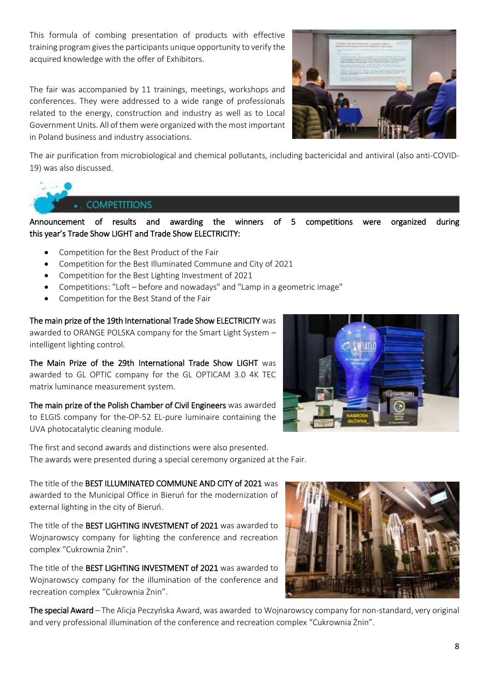This formula of combing presentation of products with effective training program gives the participants unique opportunity to verify the acquired knowledge with the offer of Exhibitors.

The fair was accompanied by 11 trainings, meetings, workshops and conferences. They were addressed to a wide range of professionals related to the energy, construction and industry as well as to Local Government Units. All of them were organized with the most important in Poland business and industry associations.



The air purification from microbiological and chemical pollutants, including bactericidal and antiviral (also anti-COVID-19) was also discussed.



Announcement of results and awarding the winners of 5 competitions were organized during this year's Trade Show LIGHT and Trade Show ELECTRICITY:

- Competition for the Best Product of the Fair
- Competition for the Best Illuminated Commune and City of 2021
- Competition for the Best Lighting Investment of 2021
- Competitions: "Loft before and nowadays" and "Lamp in a geometric image"
- Competition for the Best Stand of the Fair

The main prize of the 19th International Trade Show ELECTRICITY was awarded to ORANGE POLSKA company for the Smart Light System – intelligent lighting control.

The Main Prize of the 29th International Trade Show LIGHT was awarded to GL OPTIC company for the GL OPTICAM 3.0 4K TEC matrix luminance measurement system.

The main prize of the Polish Chamber of Civil Engineers was awarded to ELGIS company for the-OP-52 EL-pure luminaire containing the UVA photocatalytic cleaning module.



The first and second awards and distinctions were also presented. The awards were presented during a special ceremony organized at the Fair.

The title of the BEST ILLUMINATED COMMUNE AND CITY of 2021 was awarded to the Municipal Office in Bieruń for the modernization of external lighting in the city of Bieruń.

The title of the BEST LIGHTING INVESTMENT of 2021 was awarded to Wojnarowscy company for lighting the conference and recreation complex "Cukrownia Żnin".

The title of the BEST LIGHTING INVESTMENT of 2021 was awarded to Wojnarowscy company for the illumination of the conference and recreation complex "Cukrownia Żnin".



The special Award - The Alicja Peczyńska Award, was awarded to Wojnarowscy company for non-standard, very original and very professional illumination of the conference and recreation complex "Cukrownia Żnin".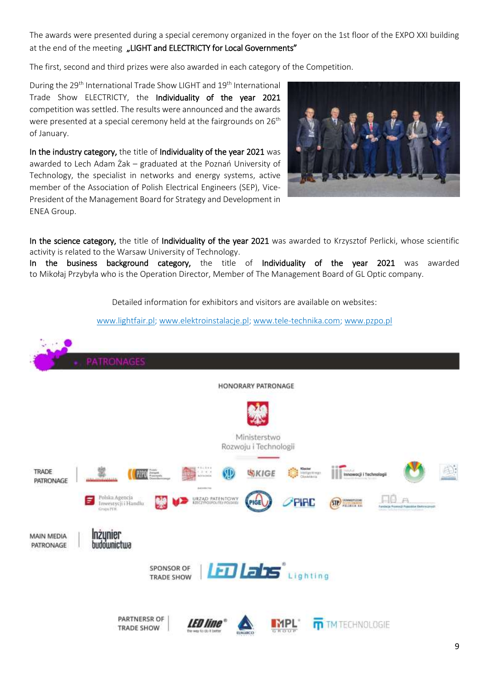The awards were presented during a special ceremony organized in the foyer on the 1st floor of the EXPO XXI building at the end of the meeting "LIGHT and ELECTRICTY for Local Governments"

The first, second and third prizes were also awarded in each category of the Competition.

During the 29<sup>th</sup> International Trade Show LIGHT and 19<sup>th</sup> International Trade Show ELECTRICTY, the Individuality of the year 2021 competition was settled. The results were announced and the awards were presented at a special ceremony held at the fairgrounds on 26<sup>th</sup> of January.

In the industry category, the title of Individuality of the year 2021 was awarded to Lech Adam Żak – graduated at the Poznań University of Technology, the specialist in networks and energy systems, active member of the Association of Polish Electrical Engineers (SEP), Vice-President of the Management Board for Strategy and Development in ENEA Group.



In the science category, the title of Individuality of the year 2021 was awarded to Krzysztof Perlicki, whose scientific activity is related to the Warsaw University of Technology.

In the business background category, the title of Individuality of the year 2021 was awarded to Mikołaj Przybyła who is the Operation Director, Member of The Management Board of GL Optic company.

Detailed information for exhibitors and visitors are available on websites:

[www.lightfair.pl;](http://www.lightfair.pl/) [www.elektroinstalacje.pl;](http://www.elektroinstalacje.pl/) [www.tele-technika.com;](http://www.tele-technika.com/) [www.pzpo.pl](http://www.pzpo.pl/)